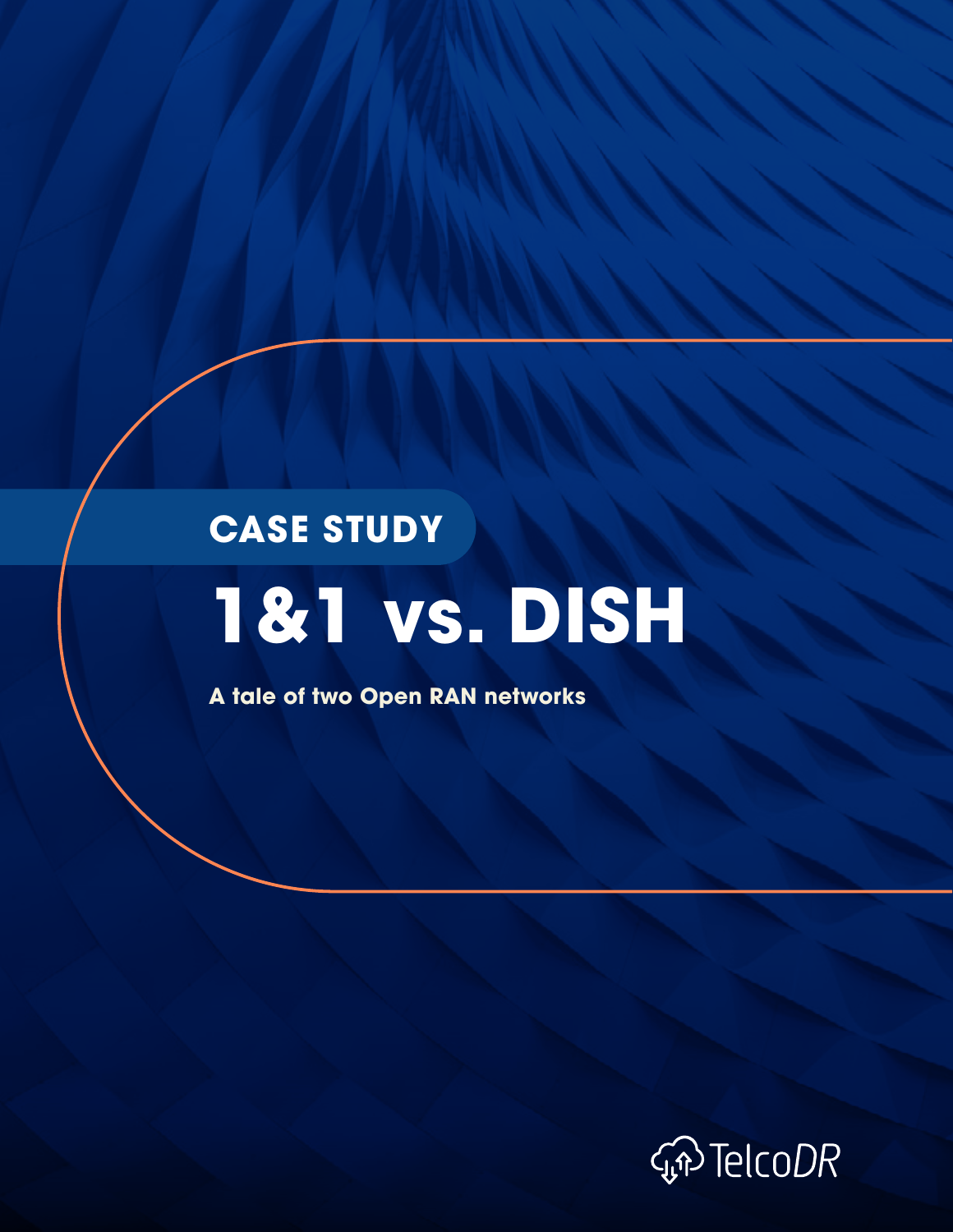# **1&1 vs. DISH CASE STUDY**

**A tale of two Open RAN networks**

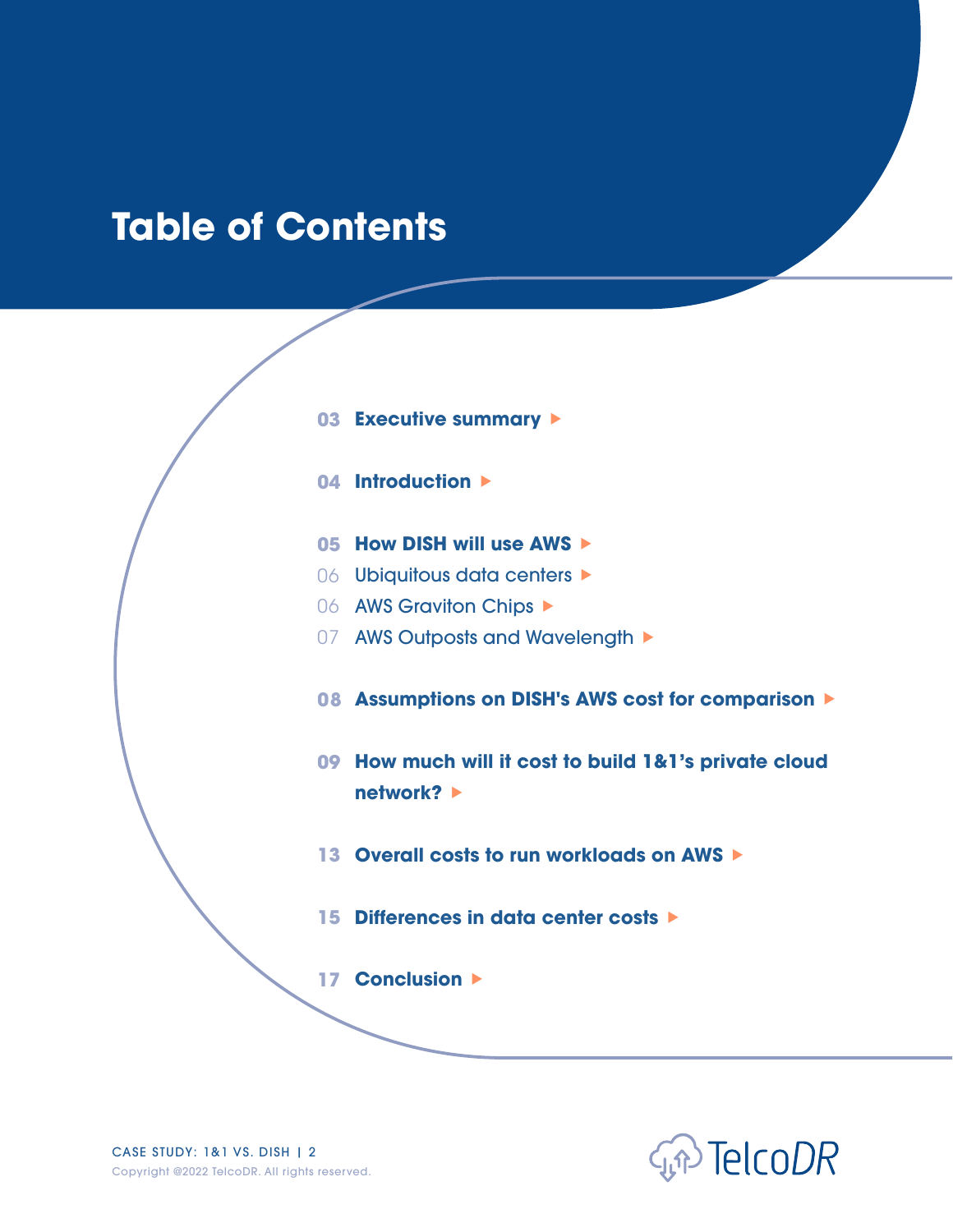# **Table of Contents**

- **03 [Executive summary](#page-2-0)**
- **04 [Introduction](#page-3-0)**
- **05 [How DISH will use AWS](#page-4-0)**
- 06 Ubiquitous data centers
- 06 [AWS Graviton Chips](#page-5-0)  $\blacktriangleright$
- 07 [AWS Outposts and Wavelength](#page-6-0)  $\blacktriangleright$
- **08 [Assumptions on DISH's AWS cost for comparison](#page-7-0)**
- **09 [How much will it cost to build 1&1's private cloud](#page-8-0)  [network?](#page-8-0)**
- **13 [Overall costs to run workloads on AWS](#page-12-0)**
- **15 [Differences in data center costs](#page-14-0)**

**17 [Conclusion](#page-16-0)** 

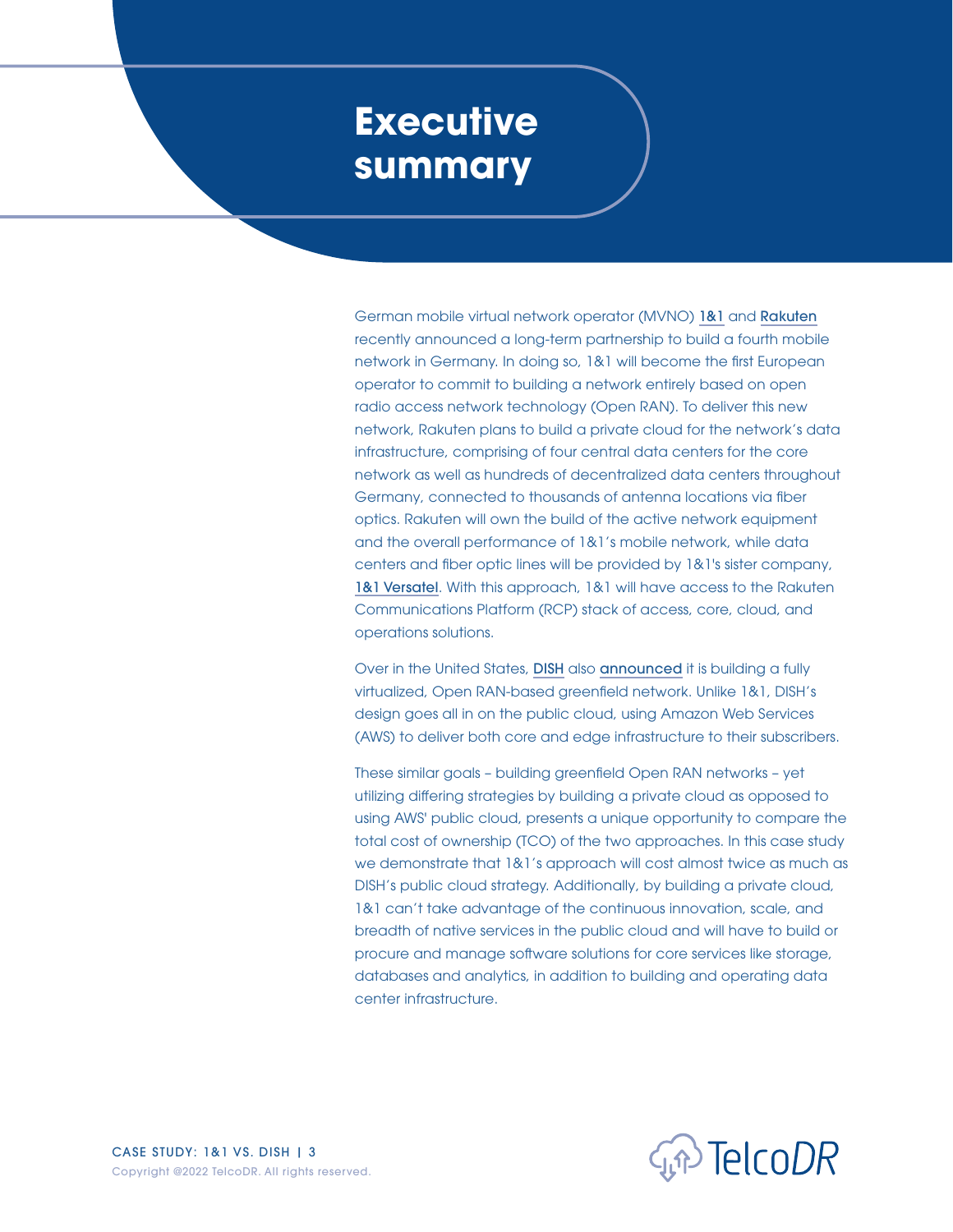### <span id="page-2-0"></span>**Executive summary**

German mobile virtual network operator (MVNO) [1&1](https://www.1und1.ag/) and [Rakuten](https://global.rakuten.com/corp/news/press/2021/0804_03.html) recently announced a long-term partnership to build a fourth mobile network in Germany. In doing so, 1&1 will become the first European operator to commit to building a network entirely based on open radio access network technology (Open RAN). To deliver this new network, Rakuten plans to build a private cloud for the network's data infrastructure, comprising of four central data centers for the core network as well as hundreds of decentralized data centers throughout Germany, connected to thousands of antenna locations via fiber optics. Rakuten will own the build of the active network equipment and the overall performance of 1&1's mobile network, while data centers and fiber optic lines will be provided by 1&1's sister company, [1&1 Versatel](https://www.united-internet.de/en/brands/11-versatel.html). With this approach, 1&1 will have access to the Rakuten Communications Platform (RCP) stack of access, core, cloud, and operations solutions.

Over in the United States, [DISH](https://www.dish.com/) also [announced](https://press.aboutamazon.com/news-releases/news-release-details/dish-and-aws-form-strategic-collaboration-reinvent-5g) it is building a fully virtualized, Open RAN-based greenfield network. Unlike 1&1, DISH's design goes all in on the public cloud, using Amazon Web Services (AWS) to deliver both core and edge infrastructure to their subscribers.

These similar goals – building greenfield Open RAN networks – yet utilizing differing strategies by building a private cloud as opposed to using AWS' public cloud, presents a unique opportunity to compare the total cost of ownership (TCO) of the two approaches. In this case study we demonstrate that 1&1's approach will cost almost twice as much as DISH's public cloud strategy. Additionally, by building a private cloud, 1&1 can't take advantage of the continuous innovation, scale, and breadth of native services in the public cloud and will have to build or procure and manage software solutions for core services like storage, databases and analytics, in addition to building and operating data center infrastructure.

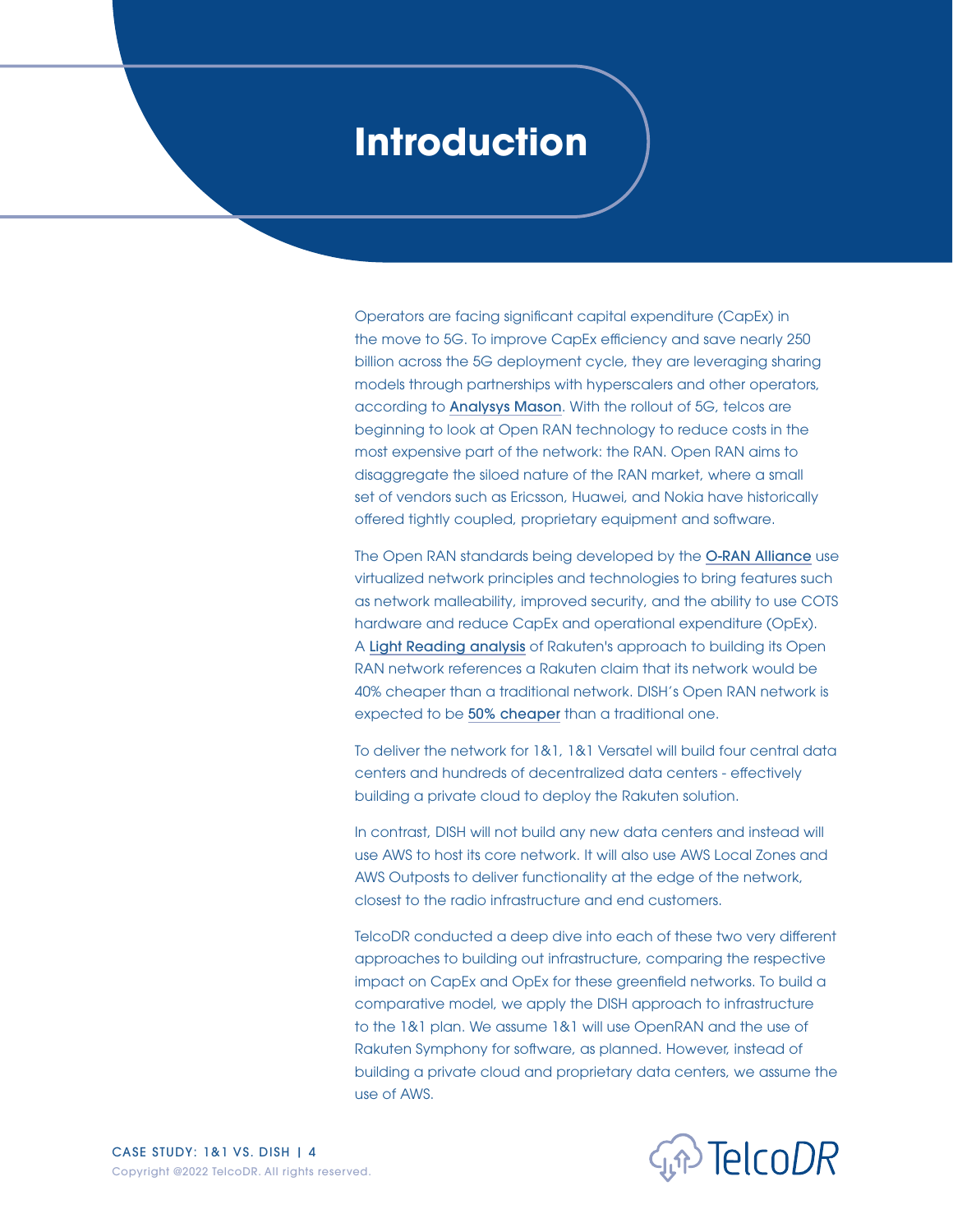### <span id="page-3-0"></span>**Introduction**

Operators are facing significant capital expenditure (CapEx) in the move to 5G. To improve CapEx efficiency and save nearly 250 billion across the 5G deployment cycle, they are leveraging sharing models through partnerships with hyperscalers and other operators, according to [Analysys Mason](https://www.analysysmason.com/research/content/reports/capex-operators-sharing-rdns0/). With the rollout of 5G, telcos are beginning to look at Open RAN technology to reduce costs in the most expensive part of the network: the RAN. Open RAN aims to disaggregate the siloed nature of the RAN market, where a small set of vendors such as Ericsson, Huawei, and Nokia have historically offered tightly coupled, proprietary equipment and software.

The Open RAN standards being developed by the [O-RAN Alliance](https://www.o-ran.org/) use virtualized network principles and technologies to bring features such as network malleability, improved security, and the ability to use COTS hardware and reduce CapEx and operational expenditure (OpEx). A [Light Reading analysis](https://www.lightreading.com/open-ran/axis-of-o-ran-japans-rakuten-to-build-1and1s-german-5g-network/d/d-id/771297) of Rakuten's approach to building its Open RAN network references a Rakuten claim that its network would be 40% cheaper than a traditional network. DISH's Open RAN network is expected to be [50% cheaper](https://twitter.com/rcrwirelessnews/status/1437777980714102806) than a traditional one.

To deliver the network for 1&1, 1&1 Versatel will build four central data centers and hundreds of decentralized data centers - effectively building a private cloud to deploy the Rakuten solution.

In contrast, DISH will not build any new data centers and instead will use AWS to host its core network. It will also use AWS Local Zones and AWS Outposts to deliver functionality at the edge of the network, closest to the radio infrastructure and end customers.

TelcoDR conducted a deep dive into each of these two very different approaches to building out infrastructure, comparing the respective impact on CapEx and OpEx for these greenfield networks. To build a comparative model, we apply the DISH approach to infrastructure to the 1&1 plan. We assume 1&1 will use OpenRAN and the use of Rakuten Symphony for software, as planned. However, instead of building a private cloud and proprietary data centers, we assume the use of AWS.

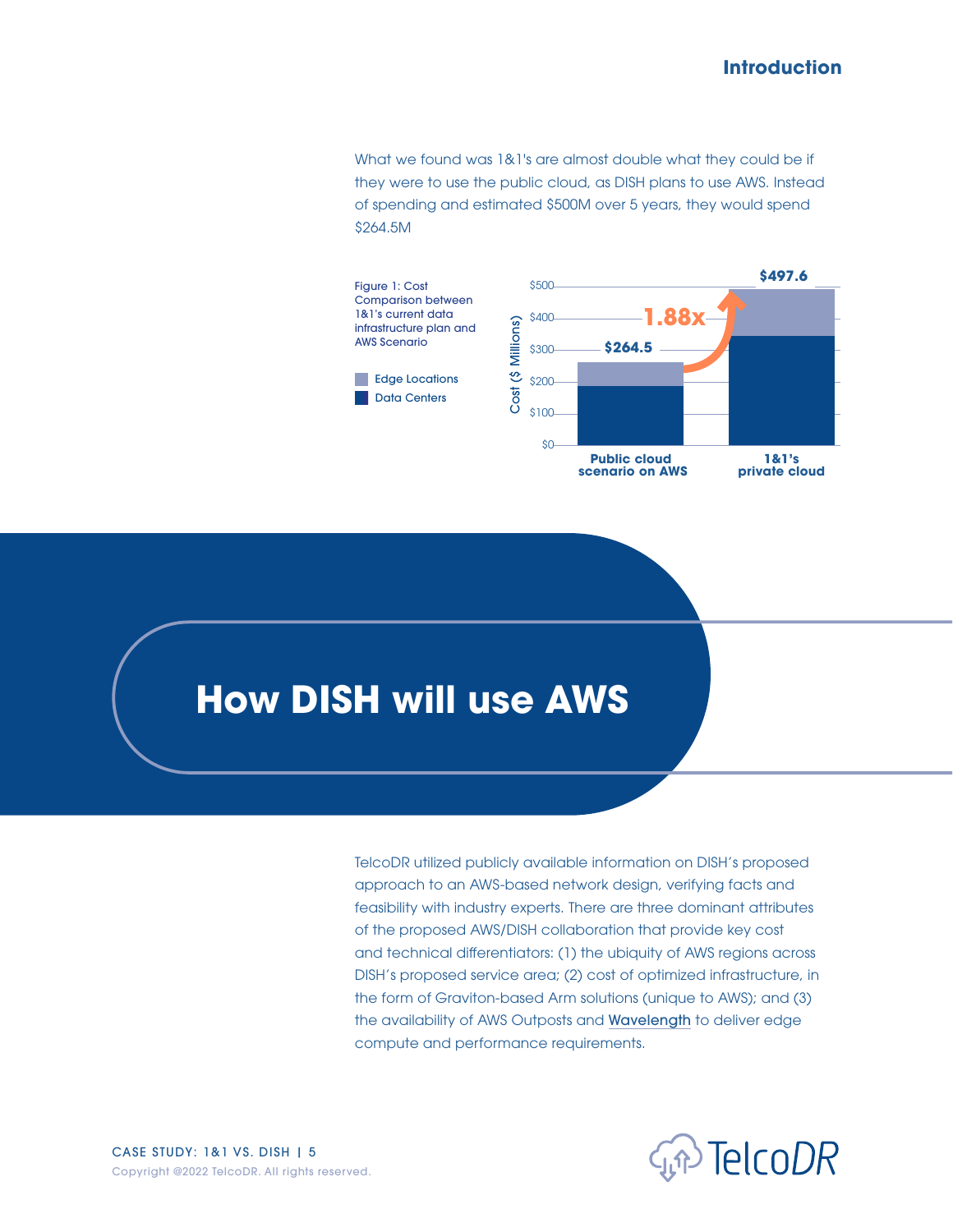#### **Introduction**

<span id="page-4-0"></span>What we found was 1&1's are almost double what they could be if they were to use the public cloud, as DISH plans to use AWS. Instead of spending and estimated \$500M over 5 years, they would spend \$264.5M



### **How DISH will use AWS**

TelcoDR utilized publicly available information on DISH's proposed approach to an AWS-based network design, verifying facts and feasibility with industry experts. There are three dominant attributes of the proposed AWS/DISH collaboration that provide key cost and technical differentiators: (1) the ubiquity of AWS regions across DISH's proposed service area; (2) cost of optimized infrastructure, in the form of Graviton-based Arm solutions (unique to AWS); and (3) the availability of AWS Outposts and [Wavelength](https://aws.amazon.com/wavelength/) to deliver edge compute and performance requirements.



CASE STUDY: 1&1 VS. DISH | 5 Copyright @2022 TelcoDR. All rights reserved.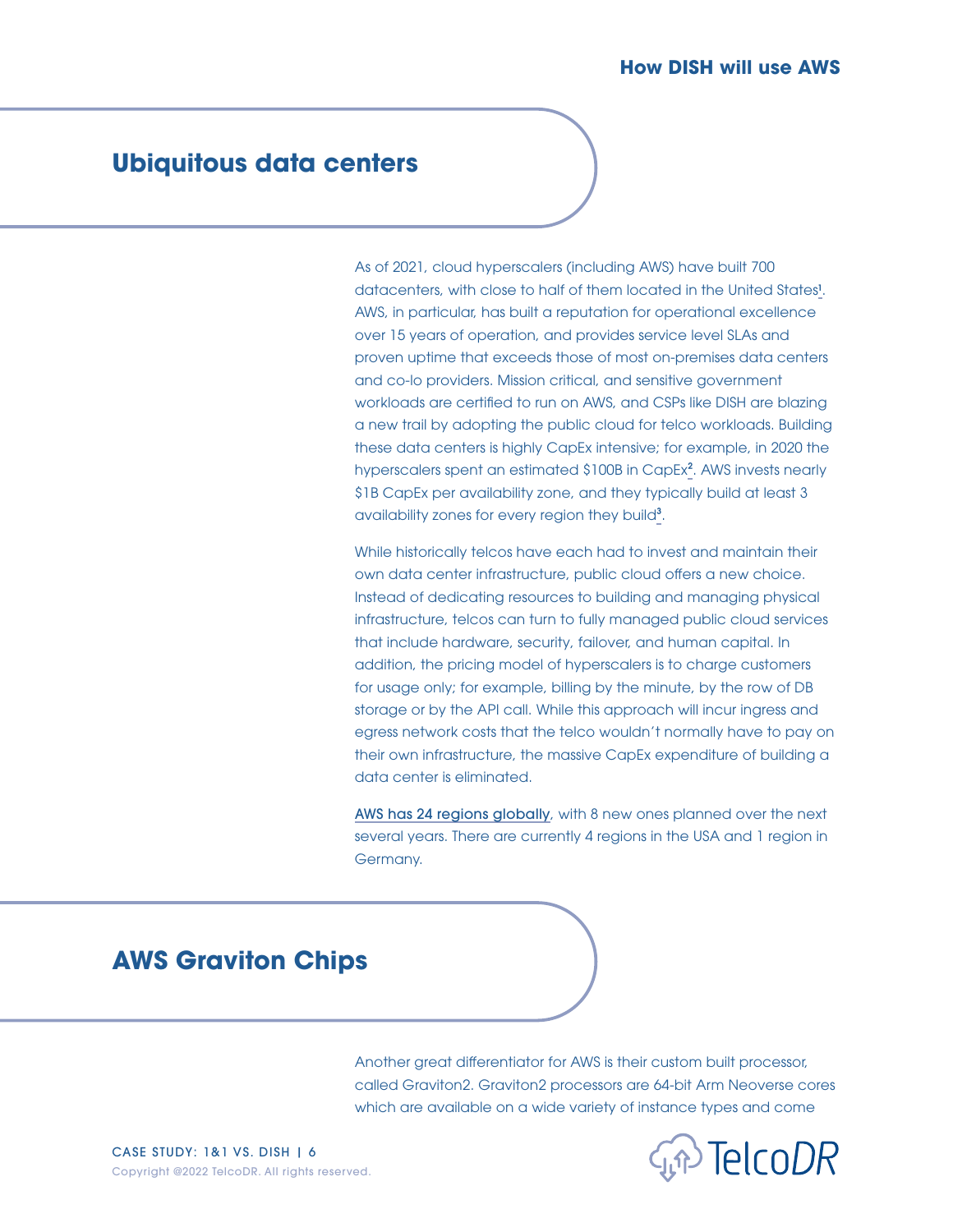### <span id="page-5-0"></span>**Ubiquitous data centers**

As of 2021, cloud hyperscalers (including AWS) have built 700 datacenters, with close to half of them located in the United States<sup>1</sup>. AWS, in particular, has built a reputation for operational excellence over 15 years of operation, and provides service level SLAs and proven uptime that exceeds those of most on-premises data centers and co-lo providers. Mission critical, and sensitive government workloads are certified to run on AWS, and CSPs like DISH are blazing a new trail by adopting the public cloud for telco workloads. Building these data centers is highly CapEx intensive; for example, in 2020 the hyperscalers spent an estimated \$100B in CapEx<sup>[2](#page-15-0)</sup>. AWS invests nearly \$1B CapEx per availability zone, and they typically build at least 3 availability zones for every region they build<sup>[3](#page-15-0)</sup>.

While historically telcos have each had to invest and maintain their own data center infrastructure, public cloud offers a new choice. Instead of dedicating resources to building and managing physical infrastructure, telcos can turn to fully managed public cloud services that include hardware, security, failover, and human capital. In addition, the pricing model of hyperscalers is to charge customers for usage only; for example, billing by the minute, by the row of DB storage or by the API call. While this approach will incur ingress and egress network costs that the telco wouldn't normally have to pay on their own infrastructure, the massive CapEx expenditure of building a data center is eliminated.

[AWS has 24 regions globally](https://aws.amazon.com/about-aws/global-infrastructure/regions_az/), with 8 new ones planned over the next several years. There are currently 4 regions in the USA and 1 region in Germany.

### **AWS Graviton Chips**

Another great differentiator for AWS is their custom built processor, called Graviton2. Graviton2 processors are 64-bit Arm Neoverse cores which are available on a wide variety of instance types and come

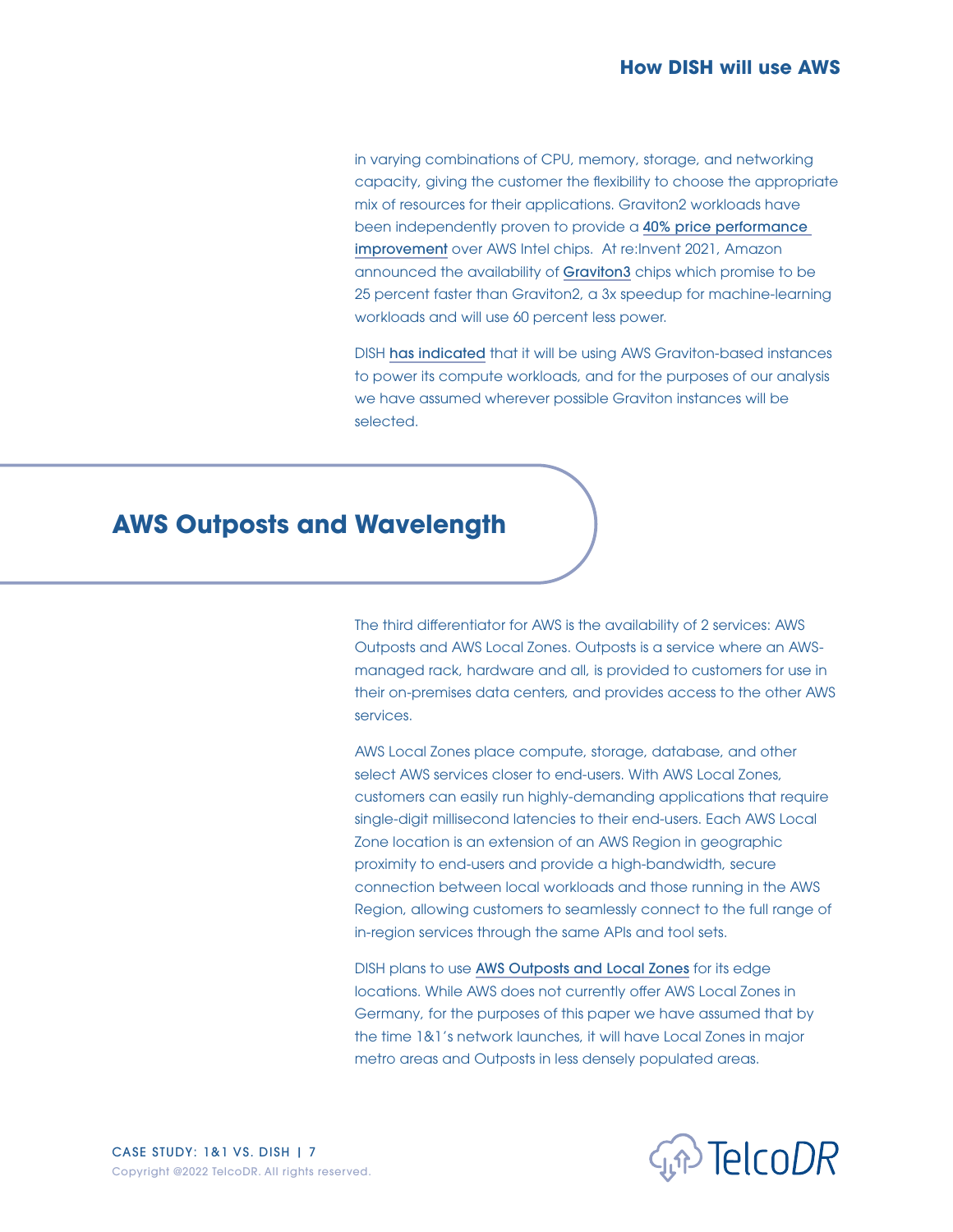<span id="page-6-0"></span>in varying combinations of CPU, memory, storage, and networking capacity, giving the customer the flexibility to choose the appropriate mix of resources for their applications. Graviton2 workloads have been independently proven to provide a 40% price performance [improvement](https://www.anandtech.com/show/15578/cloud-clash-amazon-graviton2-arm-against-intel-and-amd/9) over AWS Intel chips. At re:Invent 2021, Amazon announced the availability of [Graviton3](https://techcrunch.com/2021/11/30/aws-launches-its-graviton-3-processor/) chips which promise to be 25 percent faster than Graviton2, a 3x speedup for machine-learning workloads and will use 60 percent less power.

DISH [has indicated](https://www.businesswire.com/news/home/20210421005315/en/DISH-and-AWS-Form-Strategic-Collaboration-to-Reinvent-5G-Connectivity-and-Innovation) that it will be using AWS Graviton-based instances to power its compute workloads, and for the purposes of our analysis we have assumed wherever possible Graviton instances will be selected.

### **AWS Outposts and Wavelength**

The third differentiator for AWS is the availability of 2 services: AWS Outposts and AWS Local Zones. Outposts is a service where an AWSmanaged rack, hardware and all, is provided to customers for use in their on-premises data centers, and provides access to the other AWS services.

AWS Local Zones place compute, storage, database, and other select AWS services closer to end-users. With AWS Local Zones, customers can easily run highly-demanding applications that require single-digit millisecond latencies to their end-users. Each AWS Local Zone location is an extension of an AWS Region in geographic proximity to end-users and provide a high-bandwidth, secure connection between local workloads and those running in the AWS Region, allowing customers to seamlessly connect to the full range of in-region services through the same APIs and tool sets.

DISH plans to use [AWS Outposts and Local Zones](https://press.aboutamazon.com/news-releases/news-release-details/dish-and-aws-form-strategic-collaboration-reinvent-5g) for its edge locations. While AWS does not currently offer AWS Local Zones in Germany, for the purposes of this paper we have assumed that by the time 1&1's network launches, it will have Local Zones in major metro areas and Outposts in less densely populated areas.

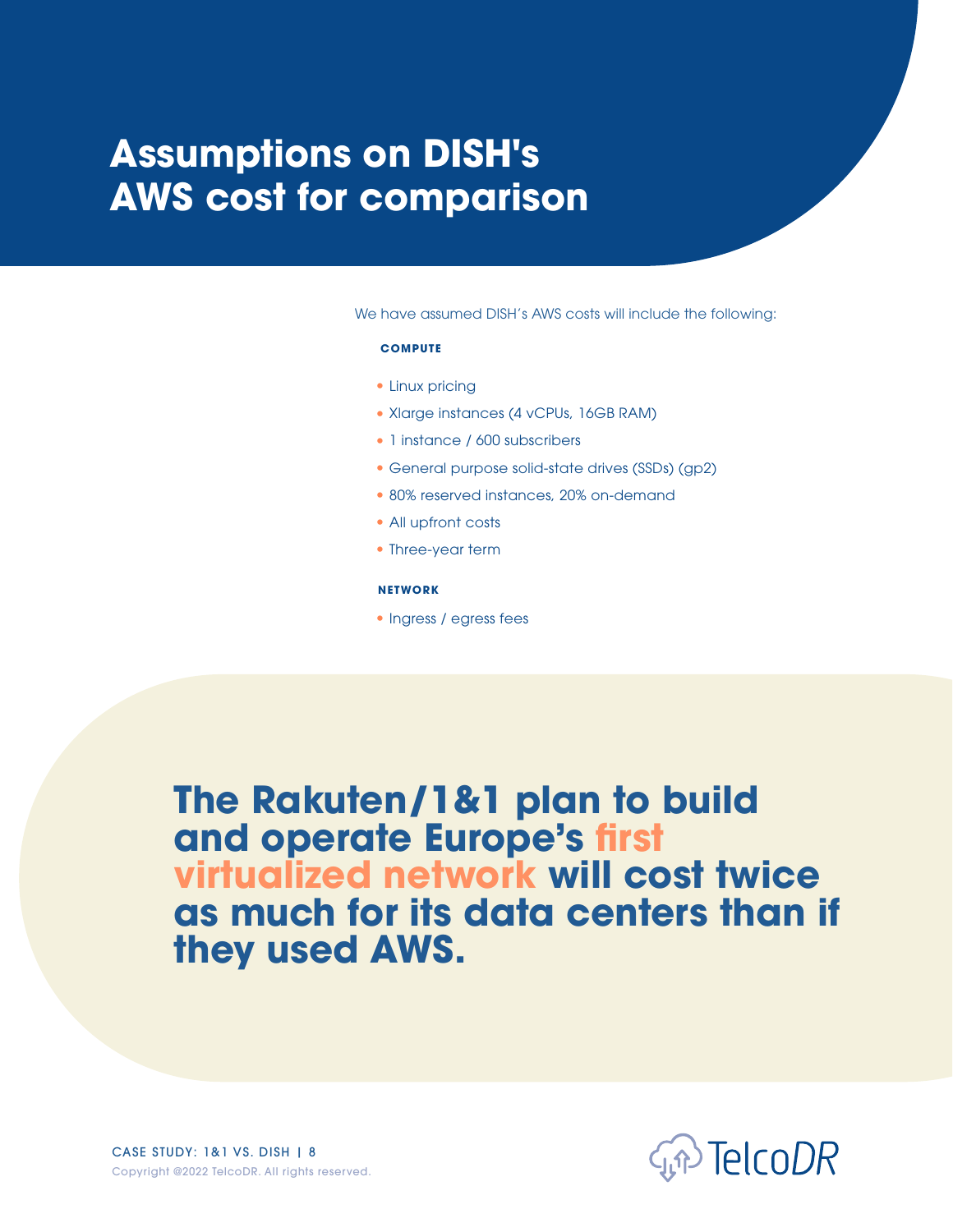# <span id="page-7-0"></span>**Assumptions on DISH's AWS cost for comparison**

We have assumed DISH's AWS costs will include the following:

#### **COMPUTE**

- Linux pricing
- Xlarge instances (4 vCPUs, 16GB RAM)
- 1 instance / 600 subscribers
- General purpose solid-state drives (SSDs) (gp2)
- 80% reserved instances, 20% on-demand
- All upfront costs
- Three-year term

#### **NETWORK**

Ingress / egress fees

**The Rakuten/1&1 plan to build and operate Europe's first virtualized network will cost twice as much for its data centers than if they used AWS.**



CASE STUDY: 1&1 VS. DISH | 8 Copyright @2022 TelcoDR. All rights reserved.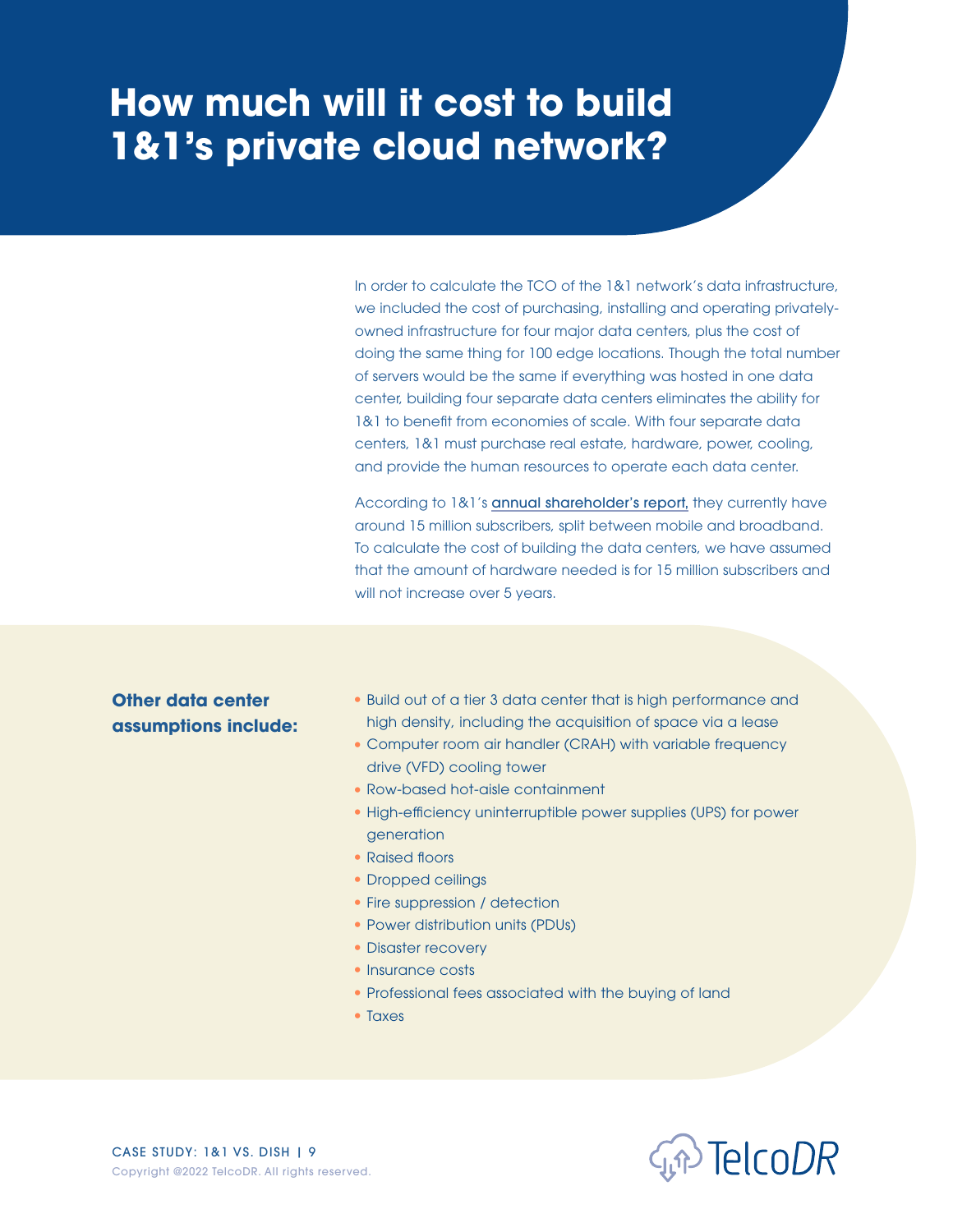<span id="page-8-0"></span>In order to calculate the TCO of the 1&1 network's data infrastructure, we included the cost of purchasing, installing and operating privatelyowned infrastructure for four major data centers, plus the cost of doing the same thing for 100 edge locations. Though the total number of servers would be the same if everything was hosted in one data center, building four separate data centers eliminates the ability for 1&1 to benefit from economies of scale. With four separate data centers, 1&1 must purchase real estate, hardware, power, cooling, and provide the human resources to operate each data center.

According to 1&1's [annual shareholder's report,](https://imagepool.1und1.ag/v2/download/berichte/Drillisch_GB_2020_ENG.pdf) they currently have around 15 million subscribers, split between mobile and broadband. To calculate the cost of building the data centers, we have assumed that the amount of hardware needed is for 15 million subscribers and will not increase over 5 years.

#### **Other data center assumptions include:**

- Build out of a tier 3 data center that is high performance and high density, including the acquisition of space via a lease
- Computer room air handler (CRAH) with variable frequency drive (VFD) cooling tower
- Row-based hot-aisle containment
- High-efficiency uninterruptible power supplies (UPS) for power generation
- Raised floors
- Dropped ceilings
- Fire suppression / detection
- Power distribution units (PDUs)
- Disaster recovery
- Insurance costs
- Professional fees associated with the buying of land
- Taxes

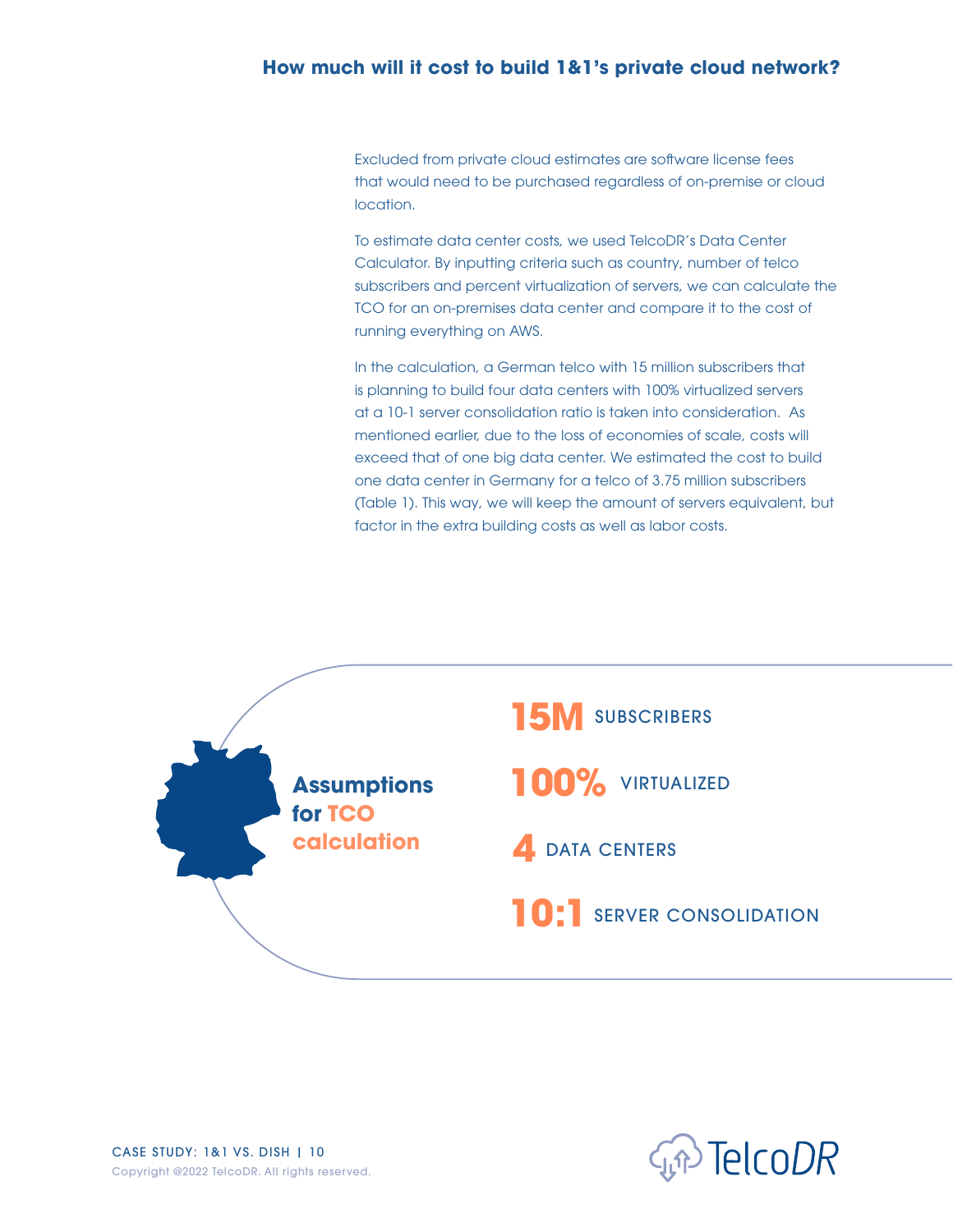Excluded from private cloud estimates are software license fees that would need to be purchased regardless of on-premise or cloud location.

To estimate data center costs, we used TelcoDR's Data Center Calculator. By inputting criteria such as country, number of telco subscribers and percent virtualization of servers, we can calculate the TCO for an on-premises data center and compare it to the cost of running everything on AWS.

In the calculation, a German telco with 15 million subscribers that is planning to build four data centers with 100% virtualized servers at a 10-1 server consolidation ratio is taken into consideration. As mentioned earlier, due to the loss of economies of scale, costs will exceed that of one big data center. We estimated the cost to build one data center in Germany for a telco of 3.75 million subscribers (Table 1). This way, we will keep the amount of servers equivalent, but factor in the extra building costs as well as labor costs.



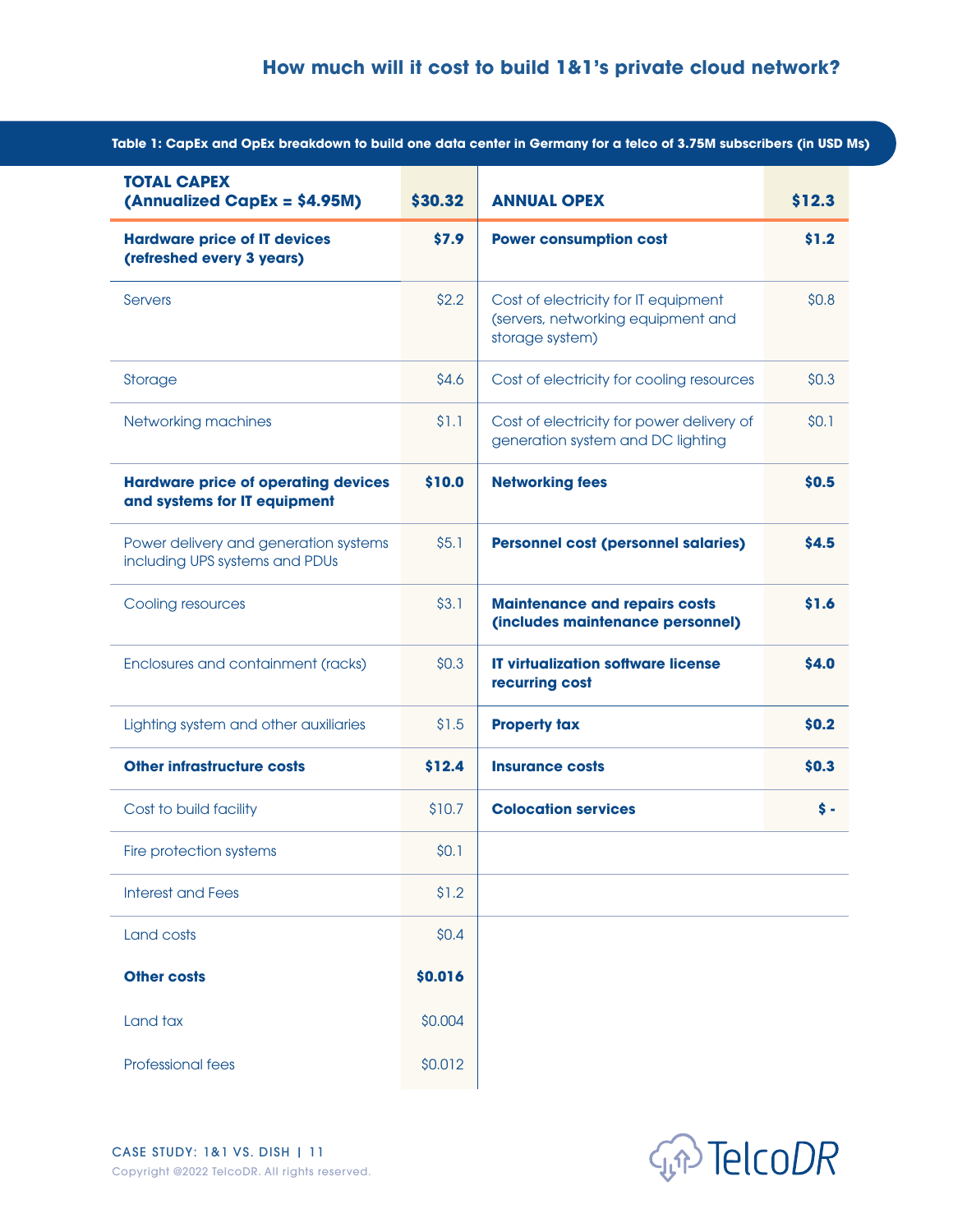| <b>TOTAL CAPEX</b><br>(Annualized CapEx = \$4.95M)                         | \$30.32 | <b>ANNUAL OPEX</b>                                                                            | \$12.3          |
|----------------------------------------------------------------------------|---------|-----------------------------------------------------------------------------------------------|-----------------|
| <b>Hardware price of IT devices</b><br>(refreshed every 3 years)           | \$7.9   | <b>Power consumption cost</b>                                                                 | \$1.2           |
| Servers                                                                    | \$2.2   | Cost of electricity for IT equipment<br>(servers, networking equipment and<br>storage system) | \$0.8\$         |
| Storage                                                                    | \$4.6   | Cost of electricity for cooling resources                                                     | \$0.3           |
| Networking machines                                                        | \$1.1   | Cost of electricity for power delivery of<br>generation system and DC lighting                | \$0.1           |
| <b>Hardware price of operating devices</b><br>and systems for IT equipment | \$10.0  | <b>Networking fees</b>                                                                        | \$0.5           |
| Power delivery and generation systems<br>including UPS systems and PDUs    | \$5.1   | <b>Personnel cost (personnel salaries)</b>                                                    | \$4.5           |
| Cooling resources                                                          | \$3.1   | <b>Maintenance and repairs costs</b><br>(includes maintenance personnel)                      | \$1.6           |
| Enclosures and containment (racks)                                         | \$0.3\$ | <b>IT virtualization software license</b><br>recurring cost                                   | \$4.0           |
| Lighting system and other auxiliaries                                      | \$1.5   | <b>Property tax</b>                                                                           | \$0.2           |
| <b>Other infrastructure costs</b>                                          | \$12.4  | <b>Insurance costs</b>                                                                        | \$0.3           |
| Cost to build facility                                                     | \$10.7  | <b>Colocation services</b>                                                                    | $\mathsf{\$}$ - |
| Fire protection systems                                                    | \$0.1   |                                                                                               |                 |
| <b>Interest and Fees</b>                                                   | \$1.2   |                                                                                               |                 |
| Land costs                                                                 | \$0.4   |                                                                                               |                 |
| <b>Other costs</b>                                                         | \$0.016 |                                                                                               |                 |
| Land tax                                                                   | \$0.004 |                                                                                               |                 |
| Professional fees                                                          | \$0.012 |                                                                                               |                 |

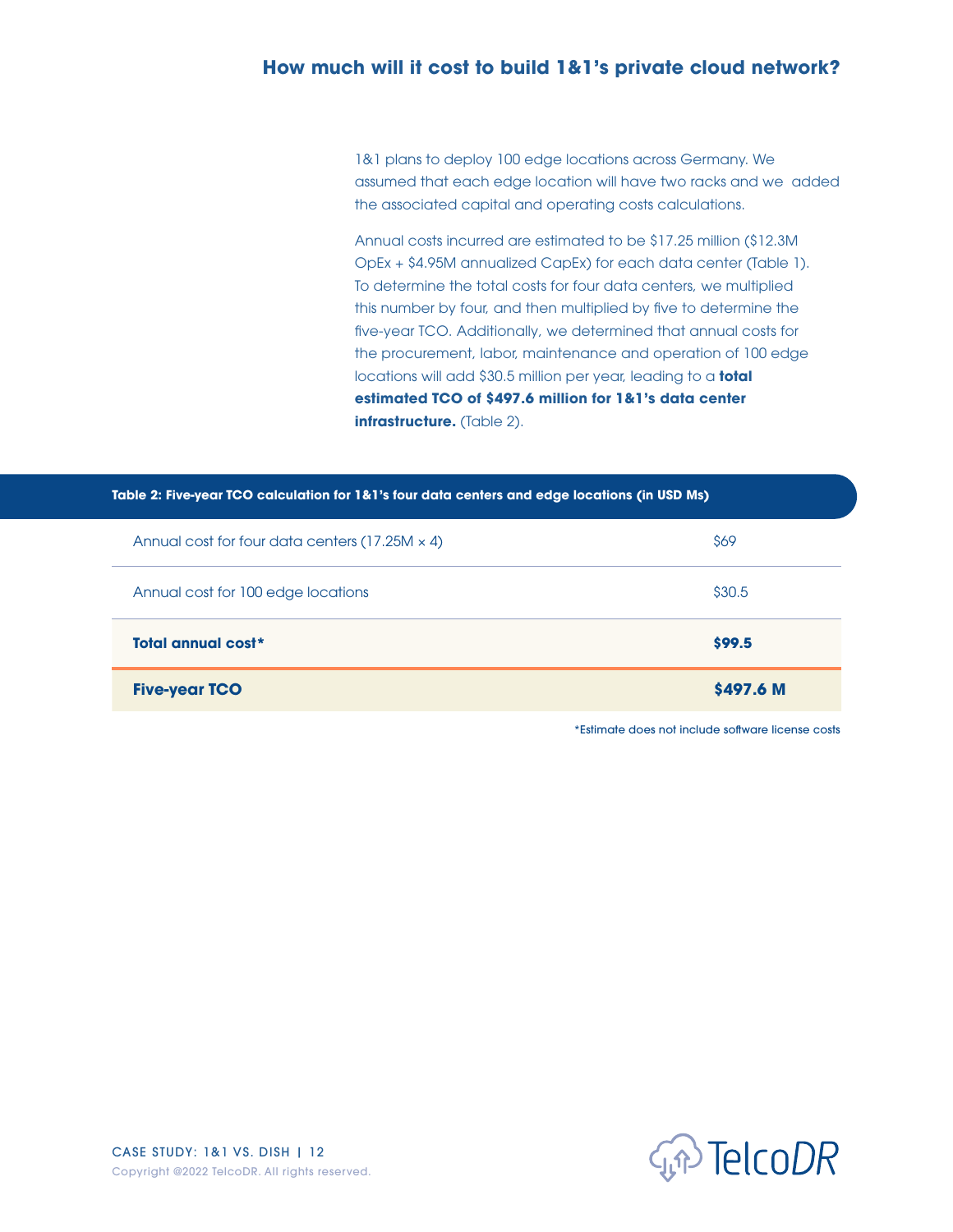1&1 plans to deploy 100 edge locations across Germany. We assumed that each edge location will have two racks and we added the associated capital and operating costs calculations.

Annual costs incurred are estimated to be \$17.25 million (\$12.3M OpEx + \$4.95M annualized CapEx) for each data center (Table 1). To determine the total costs for four data centers, we multiplied this number by four, and then multiplied by five to determine the five-year TCO. Additionally, we determined that annual costs for the procurement, labor, maintenance and operation of 100 edge locations will add \$30.5 million per year, leading to a **total estimated TCO of \$497.6 million for 1&1's data center infrastructure.** (Table 2).

| Table 2: Five-year TCO calculation for 1&1's four data centers and edge locations (in USD Ms) |           |  |  |  |
|-----------------------------------------------------------------------------------------------|-----------|--|--|--|
| Annual cost for four data centers (17.25M $\times$ 4)                                         | \$69      |  |  |  |
| Annual cost for 100 edge locations                                                            | \$30.5    |  |  |  |
| Total annual cost*                                                                            | \$99.5    |  |  |  |
| <b>Five-year TCO</b>                                                                          | \$497.6 M |  |  |  |

\*Estimate does not include software license costs

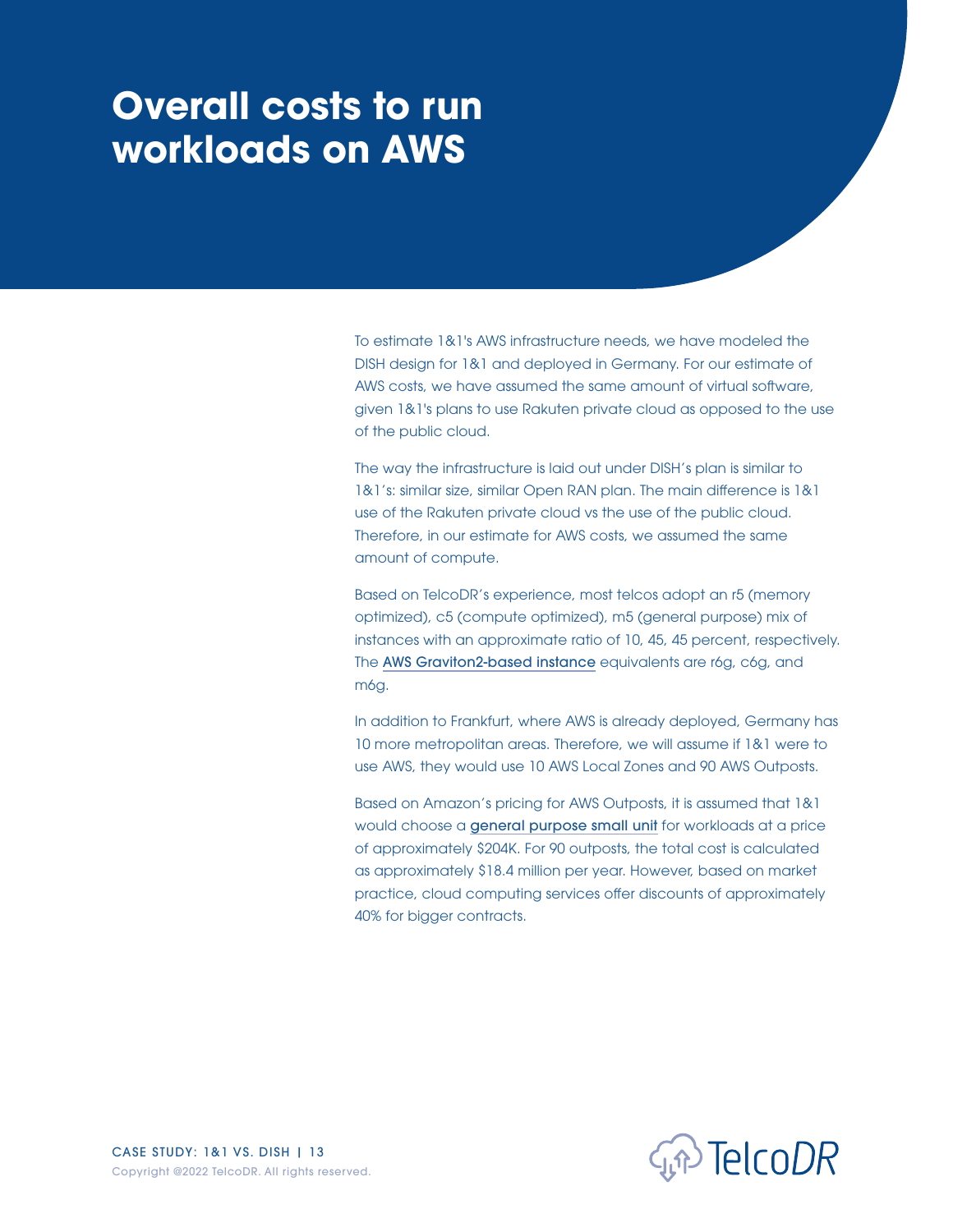# <span id="page-12-0"></span>**Overall costs to run workloads on AWS**

To estimate 1&1's AWS infrastructure needs, we have modeled the DISH design for 1&1 and deployed in Germany. For our estimate of AWS costs, we have assumed the same amount of virtual software, given 1&1's plans to use Rakuten private cloud as opposed to the use of the public cloud.

The way the infrastructure is laid out under DISH's plan is similar to 1&1's: similar size, similar Open RAN plan. The main difference is 1&1 use of the Rakuten private cloud vs the use of the public cloud. Therefore, in our estimate for AWS costs, we assumed the same amount of compute.

Based on TelcoDR's experience, most telcos adopt an r5 (memory optimized), c5 (compute optimized), m5 (general purpose) mix of instances with an approximate ratio of 10, 45, 45 percent, respectively. The [AWS Graviton2-based instance](https://aws.amazon.com/ec2/graviton/) equivalents are r6g, c6g, and m6g.

In addition to Frankfurt, where AWS is already deployed, Germany has 10 more metropolitan areas. Therefore, we will assume if 1&1 were to use AWS, they would use 10 AWS Local Zones and 90 AWS Outposts.

Based on Amazon's pricing for AWS Outposts, it is assumed that 1&1 would choose a [general purpose small unit](https://aws.amazon.com/outposts/rack/pricing/) for workloads at a price of approximately \$204K. For 90 outposts, the total cost is calculated as approximately \$18.4 million per year. However, based on market practice, cloud computing services offer discounts of approximately 40% for bigger contracts.

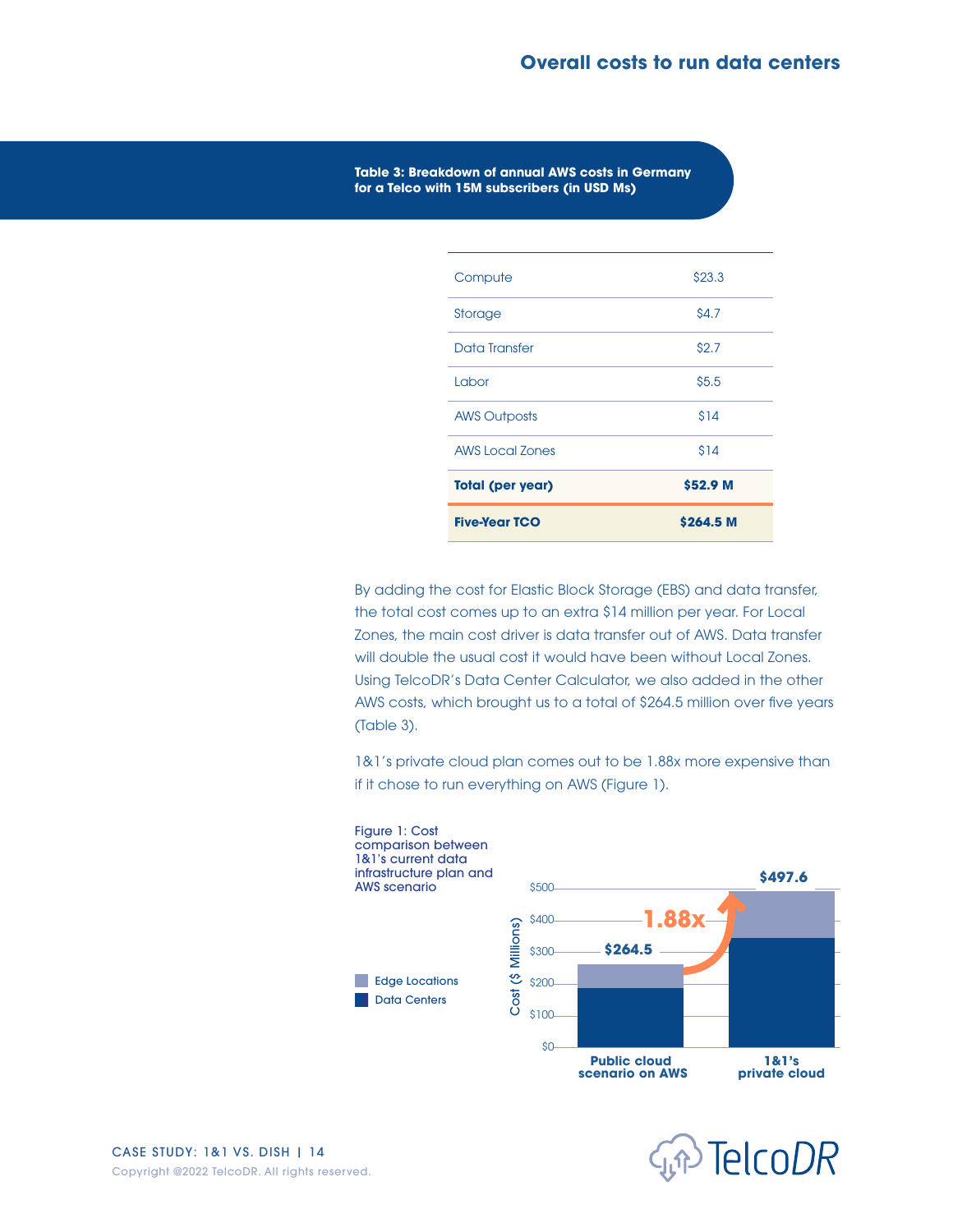**Table 3: Breakdown of annual AWS costs in Germany for a Telco with 15M subscribers (in USD Ms)**

| <b>Five-Year TCO</b>    | \$264.5 M   |
|-------------------------|-------------|
| <b>Total (per year)</b> | \$52.9 M    |
| <b>AWS Local Zones</b>  | \$14        |
| <b>AWS Outposts</b>     | \$14        |
| Labor                   | \$5.5       |
| Data Transfer           | \$2.7       |
| Storage                 | <b>S4.7</b> |
| Compute                 | \$23.3      |

By adding the cost for Elastic Block Storage (EBS) and data transfer, the total cost comes up to an extra \$14 million per year. For Local Zones, the main cost driver is data transfer out of AWS. Data transfer will double the usual cost it would have been without Local Zones. Using TelcoDR's Data Center Calculator, we also added in the other AWS costs, which brought us to a total of \$264.5 million over five years (Table 3).

1&1's private cloud plan comes out to be 1.88x more expensive than if it chose to run everything on AWS (Figure 1).



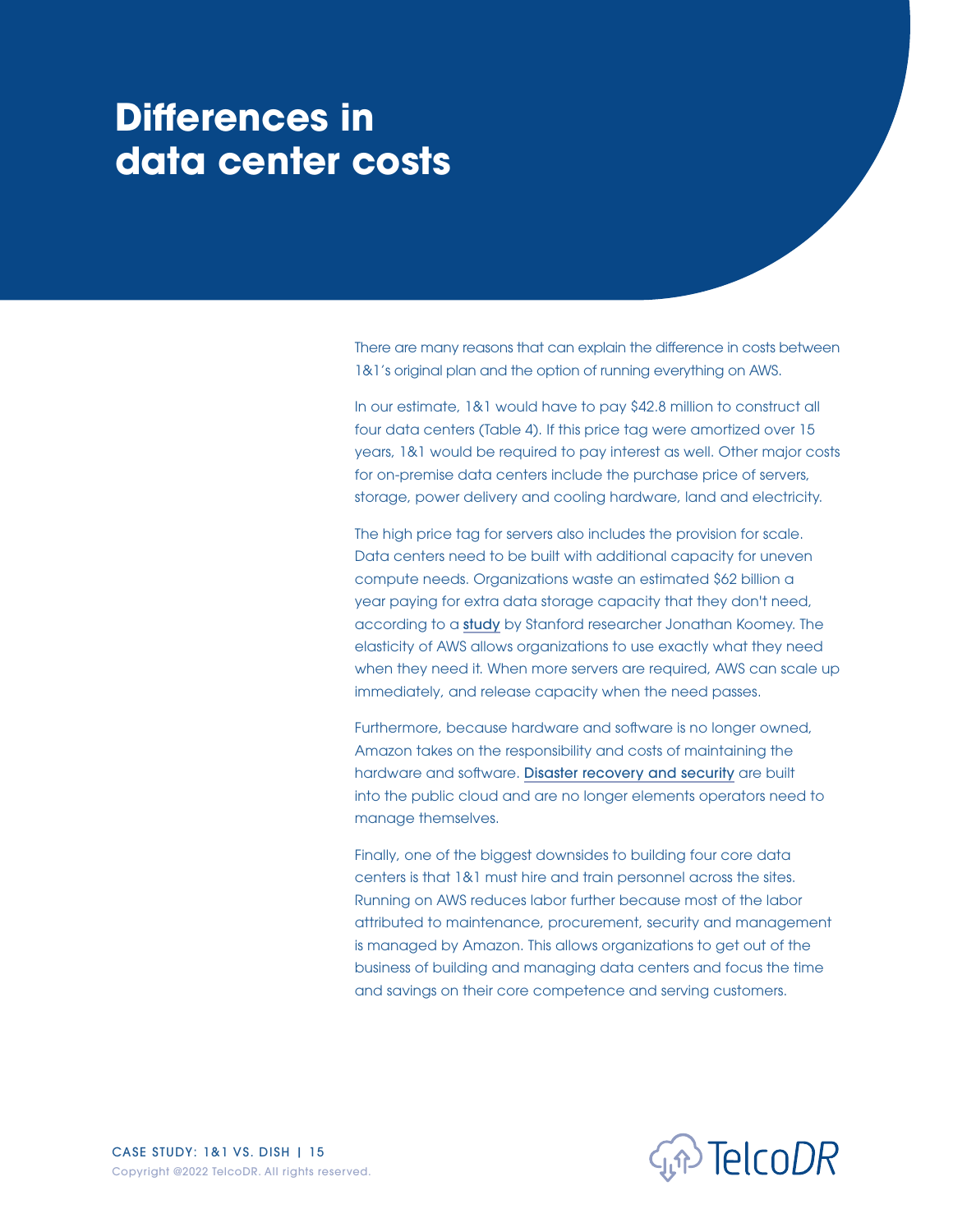## <span id="page-14-0"></span>**Differences in data center costs**

There are many reasons that can explain the difference in costs between 1&1's original plan and the option of running everything on AWS.

In our estimate, 1&1 would have to pay \$42.8 million to construct all four data centers (Table 4). If this price tag were amortized over 15 years, 1&1 would be required to pay interest as well. Other major costs for on-premise data centers include the purchase price of servers, storage, power delivery and cooling hardware, land and electricity.

The high price tag for servers also includes the provision for scale. Data centers need to be built with additional capacity for uneven compute needs. Organizations waste an estimated \$62 billion a year paying for extra data storage capacity that they don't need, according to a [study](https://www.businessinsider.com/companies-waste-62-billion-on-the-cloud-by-paying-for-storage-they-dont-need-according-to-a-report-2017-11) by Stanford researcher Jonathan Koomey. The elasticity of AWS allows organizations to use exactly what they need when they need it. When more servers are required, AWS can scale up immediately, and release capacity when the need passes.

Furthermore, because hardware and software is no longer owned, Amazon takes on the responsibility and costs of maintaining the hardware and software. [Disaster recovery and security](https://aws.amazon.com/blogs/architecture/disaster-recovery-dr-architecture-on-aws-part-i-strategies-for-recovery-in-the-cloud/) are built into the public cloud and are no longer elements operators need to manage themselves.

Finally, one of the biggest downsides to building four core data centers is that 1&1 must hire and train personnel across the sites. Running on AWS reduces labor further because most of the labor attributed to maintenance, procurement, security and management is managed by Amazon. This allows organizations to get out of the business of building and managing data centers and focus the time and savings on their core competence and serving customers.

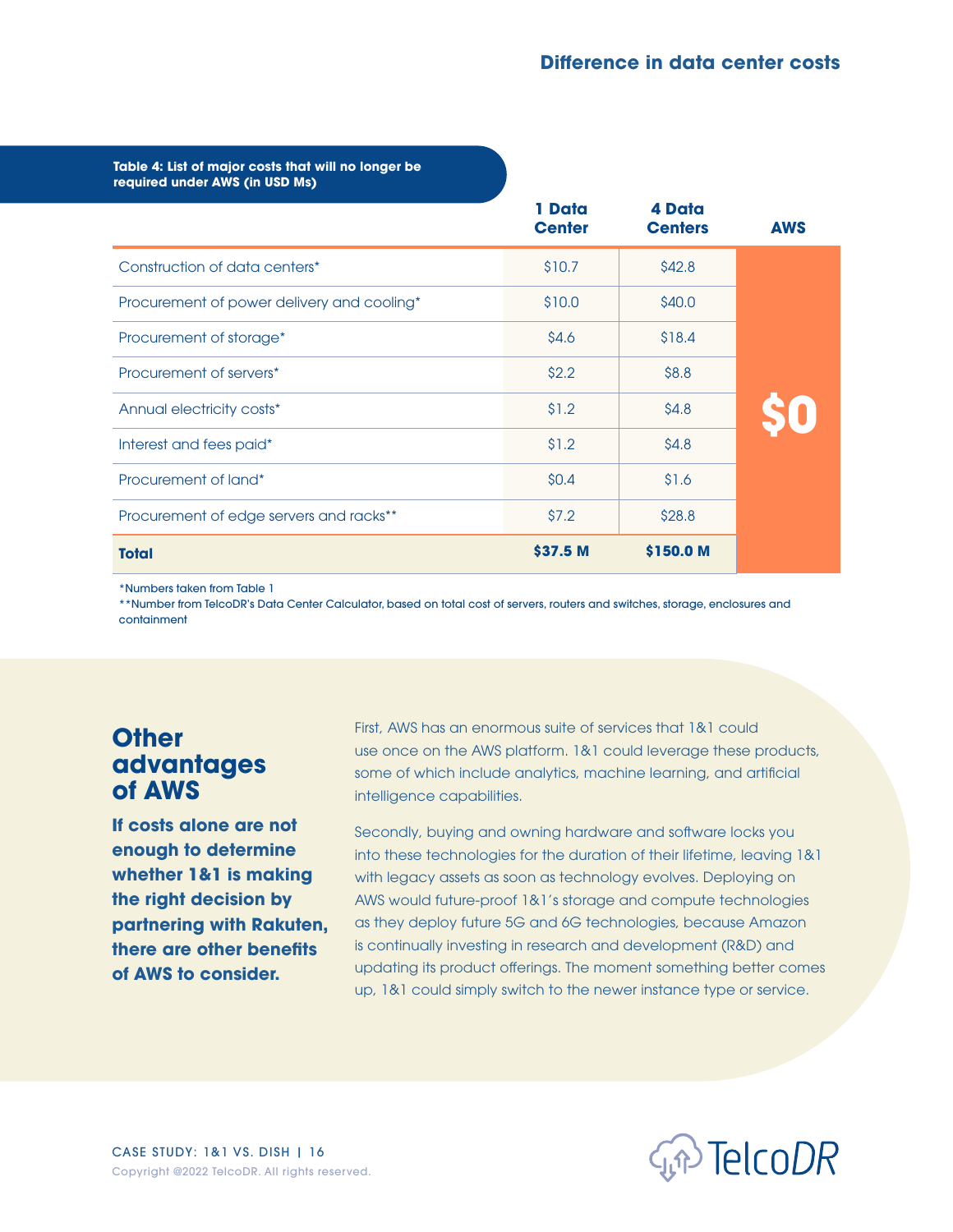<span id="page-15-0"></span>Table 4: List of major costs that will no longer be **required under AWS (in USD Ms)**

|                                            | 1 Data<br><b>Center</b> | 4 Data<br><b>Centers</b> | <b>AWS</b> |
|--------------------------------------------|-------------------------|--------------------------|------------|
| Construction of data centers*              | \$10.7                  | \$42.8                   |            |
| Procurement of power delivery and cooling* | \$10.0                  | \$40.0                   |            |
| Procurement of storage*                    | \$4.6                   | \$18.4                   |            |
| Procurement of servers*                    | \$2.2                   | \$8.8                    |            |
| Annual electricity costs*                  | \$1.2                   | \$4.8                    |            |
| Interest and fees paid*                    | \$1.2                   | \$4.8                    |            |
| Procurement of land*                       | \$0.4\$                 | \$1.6                    |            |
| Procurement of edge servers and racks**    | \$7.2                   | \$28.8                   |            |
| <b>Total</b>                               | \$37.5 M                | \$150.0 M                |            |

\*Numbers taken from Table 1

\*\*Number from TelcoDR's Data Center Calculator, based on total cost of servers, routers and switches, storage, enclosures and containment

### **Other advantages of AWS**

**If costs alone are not enough to determine whether 1&1 is making the right decision by partnering with Rakuten, there are other benefits of AWS to consider.** 

First, AWS has an enormous suite of services that 1&1 could use once on the AWS platform. 1&1 could leverage these products, some of which include analytics, machine learning, and artificial intelligence capabilities.

Secondly, buying and owning hardware and software locks you into these technologies for the duration of their lifetime, leaving 1&1 with legacy assets as soon as technology evolves. Deploying on AWS would future-proof 1&1's storage and compute technologies as they deploy future 5G and 6G technologies, because Amazon is continually investing in research and development (R&D) and updating its product offerings. The moment something better comes up, 1&1 could simply switch to the newer instance type or service.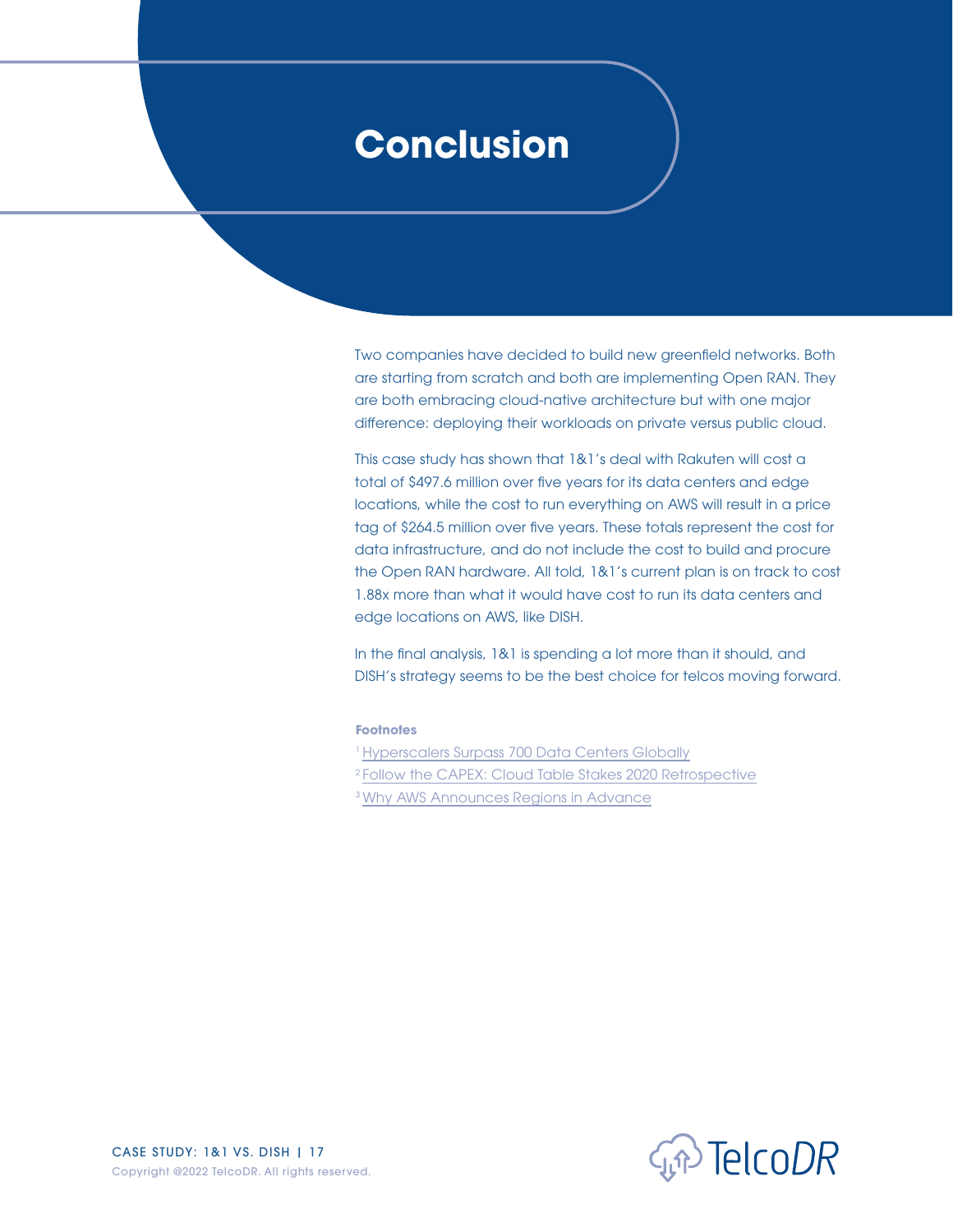### <span id="page-16-0"></span>**Conclusion**

Two companies have decided to build new greenfield networks. Both are starting from scratch and both are implementing Open RAN. They are both embracing cloud-native architecture but with one major difference: deploying their workloads on private versus public cloud.

This case study has shown that 1&1's deal with Rakuten will cost a total of \$497.6 million over five years for its data centers and edge locations, while the cost to run everything on AWS will result in a price tag of \$264.5 million over five years. These totals represent the cost for data infrastructure, and do not include the cost to build and procure the Open RAN hardware. All told, 1&1's current plan is on track to cost 1.88x more than what it would have cost to run its data centers and edge locations on AWS, like DISH.

In the final analysis, 1&1 is spending a lot more than it should, and DISH's strategy seems to be the best choice for telcos moving forward.

#### **Footnotes**

- <sup>1</sup> [Hyperscalers Surpass 700 Data Centers Globally](https://www.sdxcentral.com/articles/news/hyperscalers-surpass-700-data-centers-globally/2021/11/?hit=10689367-4b3a-49d4-b751-bb839db846fd&utm_campaign=twitter&utm_medium=social&utm_source=sdx.io)
- 2 [Follow the CAPEX: Cloud Table Stakes 2020 Retrospective](https://www.platformonomics.com/2021/02/follow-the-capex-cloud-table-stakes-2020-retrospective/)
- 3 [Why AWS Announces Regions in Advance](https://www.lastweekinaws.com/blog/why-aws-announces-regions-in-advance/)